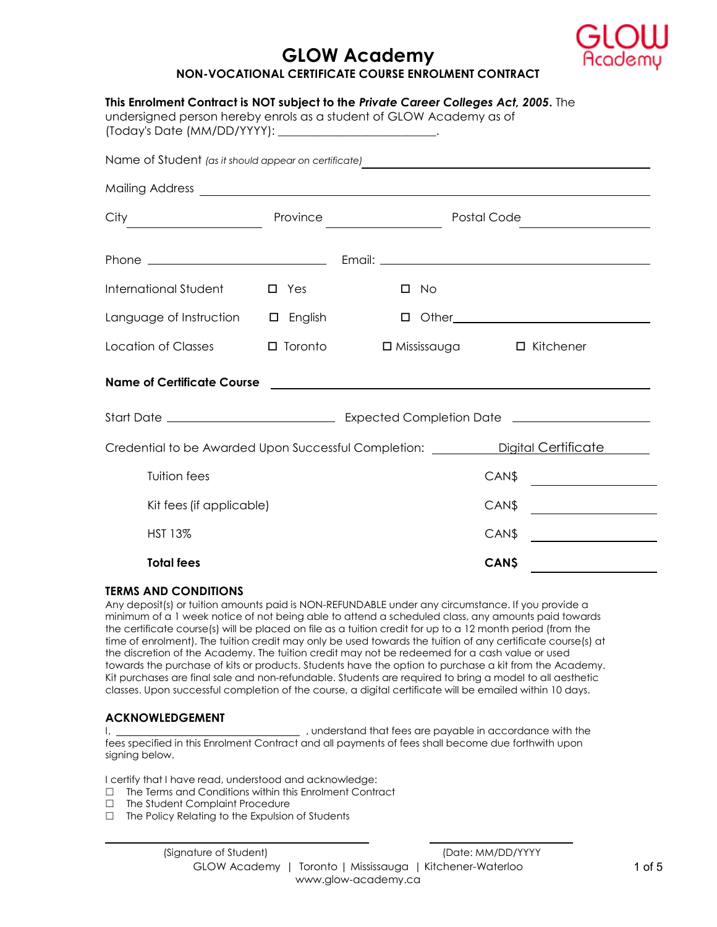

# GLOW Academy NON-VOCATIONAL CERTIFICATE COURSE ENROLMENT CONTRACT

| This Enrolment Contract is NOT subject to the Private Career Colleges Act, 2005. The<br>undersigned person hereby enrols as a student of GLOW Academy as of<br>(Today's Date (MM/DD/YYYY): __________________________. |                |                                                                                                                                                                                                                                                                                                                                                                                                                                 |                                                                                                                                                                                                                               |  |
|------------------------------------------------------------------------------------------------------------------------------------------------------------------------------------------------------------------------|----------------|---------------------------------------------------------------------------------------------------------------------------------------------------------------------------------------------------------------------------------------------------------------------------------------------------------------------------------------------------------------------------------------------------------------------------------|-------------------------------------------------------------------------------------------------------------------------------------------------------------------------------------------------------------------------------|--|
|                                                                                                                                                                                                                        |                |                                                                                                                                                                                                                                                                                                                                                                                                                                 |                                                                                                                                                                                                                               |  |
|                                                                                                                                                                                                                        |                |                                                                                                                                                                                                                                                                                                                                                                                                                                 | Mailing Address entry and the series of the series of the series of the series of the series of the series of the series of the series of the series of the series of the series of the series of the series of the series of |  |
| City                                                                                                                                                                                                                   |                | $Province \begin{tabular}{c} \hline \rule[1mm]{1mm}{1mm} \rule[1mm]{1mm}{1mm} \rule[1mm]{1mm}{1mm} \rule[1mm]{1mm}{1mm} \rule[1mm]{1mm}{1mm} \rule[1mm]{1mm}{1mm} \rule[1mm]{1mm}{1mm} \rule[1mm]{1mm}{1mm} \rule[1mm]{1mm}{1mm} \rule[1mm]{1mm}{1mm} \rule[1mm]{1mm}{1mm} \rule[1mm]{1mm}{1mm} \rule[1mm]{1mm}{1mm} \rule[1mm]{1mm}{1mm} \rule[1mm]{1mm}{1mm} \rule[1mm]{1mm}{1mm} \rule[1mm]{1mm}{1mm} \rule[$<br>Postal Code |                                                                                                                                                                                                                               |  |
|                                                                                                                                                                                                                        |                |                                                                                                                                                                                                                                                                                                                                                                                                                                 |                                                                                                                                                                                                                               |  |
| International Student                                                                                                                                                                                                  | $\square$ Yes  | $\Box$ No                                                                                                                                                                                                                                                                                                                                                                                                                       |                                                                                                                                                                                                                               |  |
| Language of Instruction $\Box$ English                                                                                                                                                                                 |                |                                                                                                                                                                                                                                                                                                                                                                                                                                 |                                                                                                                                                                                                                               |  |
| Location of Classes                                                                                                                                                                                                    | $\Box$ Toronto |                                                                                                                                                                                                                                                                                                                                                                                                                                 | $\Box$ Mississauga $\Box$ Kitchener                                                                                                                                                                                           |  |
| <b>Name of Certificate Course</b>                                                                                                                                                                                      |                |                                                                                                                                                                                                                                                                                                                                                                                                                                 | <u> 1989 - Johann Barn, fransk politik formuler (d. 1989)</u>                                                                                                                                                                 |  |
|                                                                                                                                                                                                                        |                |                                                                                                                                                                                                                                                                                                                                                                                                                                 |                                                                                                                                                                                                                               |  |
|                                                                                                                                                                                                                        |                |                                                                                                                                                                                                                                                                                                                                                                                                                                 | Credential to be Awarded Upon Successful Completion: _________ Digital Certificate                                                                                                                                            |  |
| <b>Tuition fees</b>                                                                                                                                                                                                    |                |                                                                                                                                                                                                                                                                                                                                                                                                                                 | CAN\$                                                                                                                                                                                                                         |  |
| Kit fees (if applicable)                                                                                                                                                                                               |                |                                                                                                                                                                                                                                                                                                                                                                                                                                 | CAN\$                                                                                                                                                                                                                         |  |
| <b>HST 13%</b>                                                                                                                                                                                                         |                |                                                                                                                                                                                                                                                                                                                                                                                                                                 | CAN\$<br><u> 1980 - Jan Jawa Barat, prima provincia prima prima prima prima prima prima prima prima prima prima prima pri</u>                                                                                                 |  |
| <b>Total fees</b>                                                                                                                                                                                                      |                |                                                                                                                                                                                                                                                                                                                                                                                                                                 | <b>CANS</b>                                                                                                                                                                                                                   |  |

#### TERMS AND CONDITIONS

Any deposit(s) or tuition amounts paid is NON-REFUNDABLE under any circumstance. If you provide a minimum of a 1 week notice of not being able to attend a scheduled class, any amounts paid towards the certificate course(s) will be placed on file as a tuition credit for up to a 12 month period (from the time of enrolment). The tuition credit may only be used towards the tuition of any certificate course(s) at the discretion of the Academy. The tuition credit may not be redeemed for a cash value or used towards the purchase of kits or products. Students have the option to purchase a kit from the Academy. Kit purchases are final sale and non-refundable. Students are required to bring a model to all aesthetic classes. Upon successful completion of the course, a digital certificate will be emailed within 10 days.

### ACKNOWLEDGEMENT

 $\overline{a}$ 

I,  $\frac{1}{2}$  , understand that fees are payable in accordance with the fees specified in this Enrolment Contract and all payments of fees shall become due forthwith upon signing below.

I certify that I have read, understood and acknowledge:

- $\Box$  The Terms and Conditions within this Enrolment Contract
- □ The Student Complaint Procedure
- $\Box$  The Policy Relating to the Expulsion of Students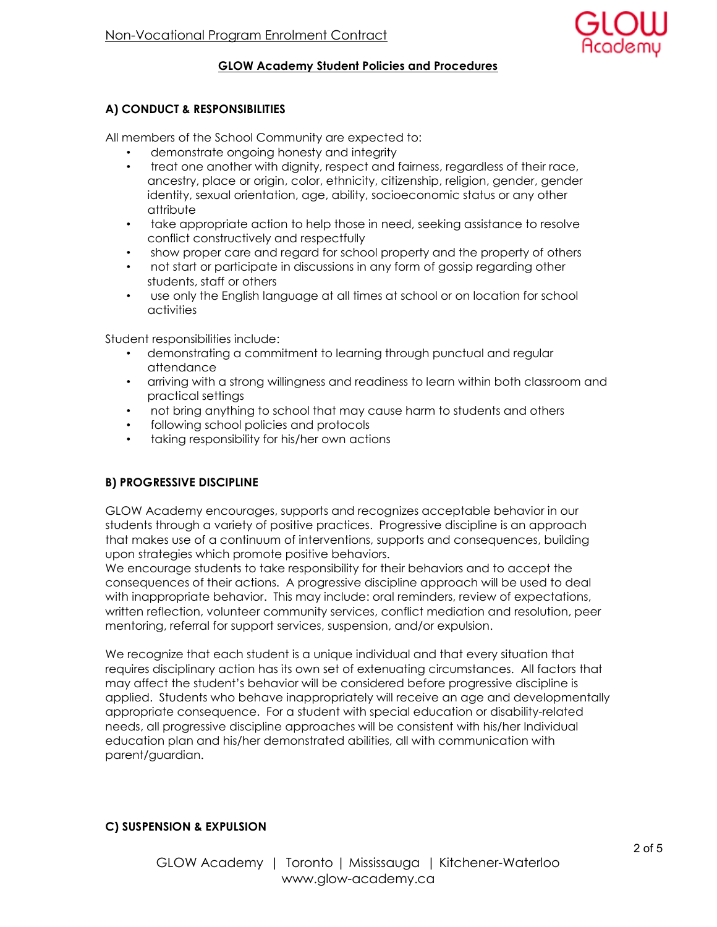

### GLOW Academy Student Policies and Procedures

## A) CONDUCT & RESPONSIBILITIES

All members of the School Community are expected to:

- demonstrate ongoing honesty and integrity
- treat one another with dignity, respect and fairness, regardless of their race, ancestry, place or origin, color, ethnicity, citizenship, religion, gender, gender identity, sexual orientation, age, ability, socioeconomic status or any other attribute
- take appropriate action to help those in need, seeking assistance to resolve conflict constructively and respectfully
- show proper care and regard for school property and the property of others
- not start or participate in discussions in any form of gossip regarding other students, staff or others
- use only the English language at all times at school or on location for school activities

Student responsibilities include:

- demonstrating a commitment to learning through punctual and regular attendance
- arriving with a strong willingness and readiness to learn within both classroom and practical settings
- not bring anything to school that may cause harm to students and others
- following school policies and protocols
- taking responsibility for his/her own actions

## B) PROGRESSIVE DISCIPLINE

GLOW Academy encourages, supports and recognizes acceptable behavior in our students through a variety of positive practices. Progressive discipline is an approach that makes use of a continuum of interventions, supports and consequences, building upon strategies which promote positive behaviors.

We encourage students to take responsibility for their behaviors and to accept the consequences of their actions. A progressive discipline approach will be used to deal with inappropriate behavior. This may include: oral reminders, review of expectations, written reflection, volunteer community services, conflict mediation and resolution, peer mentoring, referral for support services, suspension, and/or expulsion.

We recognize that each student is a unique individual and that every situation that requires disciplinary action has its own set of extenuating circumstances. All factors that may affect the student's behavior will be considered before progressive discipline is applied. Students who behave inappropriately will receive an age and developmentally appropriate consequence. For a student with special education or disability-related needs, all progressive discipline approaches will be consistent with his/her Individual education plan and his/her demonstrated abilities, all with communication with parent/guardian.

## C) SUSPENSION & EXPULSION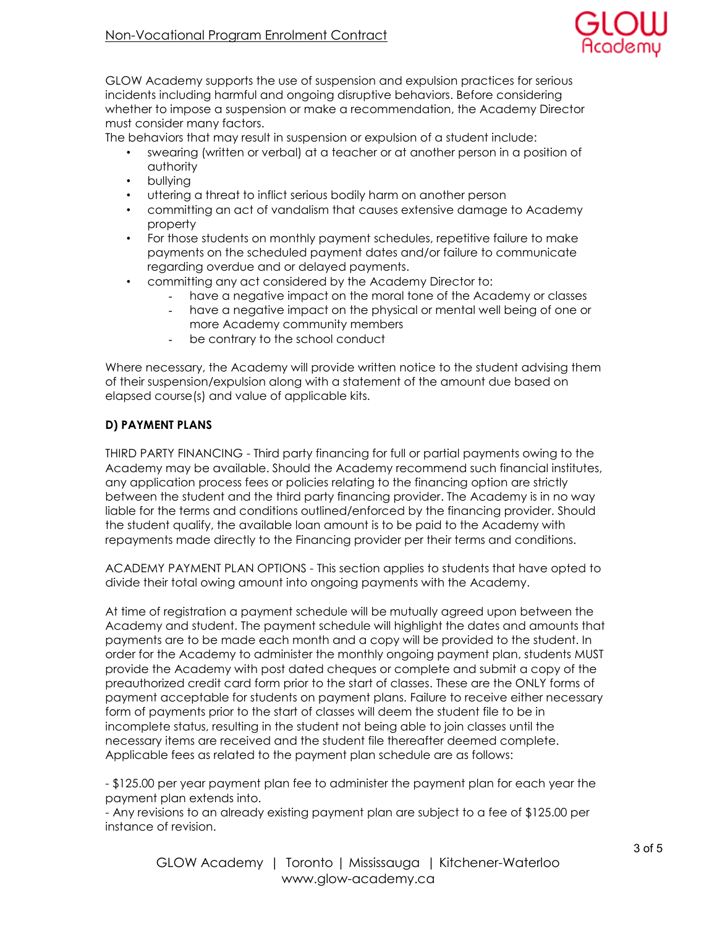

GLOW Academy supports the use of suspension and expulsion practices for serious incidents including harmful and ongoing disruptive behaviors. Before considering whether to impose a suspension or make a recommendation, the Academy Director must consider many factors.

The behaviors that may result in suspension or expulsion of a student include:

- swearing (written or verbal) at a teacher or at another person in a position of authority
- bullying
- uttering a threat to inflict serious bodily harm on another person
- committing an act of vandalism that causes extensive damage to Academy property
- For those students on monthly payment schedules, repetitive failure to make payments on the scheduled payment dates and/or failure to communicate regarding overdue and or delayed payments.
- committing any act considered by the Academy Director to:
	- have a negative impact on the moral tone of the Academy or classes
	- have a negative impact on the physical or mental well being of one or more Academy community members
	- be contrary to the school conduct

Where necessary, the Academy will provide written notice to the student advising them of their suspension/expulsion along with a statement of the amount due based on elapsed course(s) and value of applicable kits.

## D) PAYMENT PLANS

THIRD PARTY FINANCING - Third party financing for full or partial payments owing to the Academy may be available. Should the Academy recommend such financial institutes, any application process fees or policies relating to the financing option are strictly between the student and the third party financing provider. The Academy is in no way liable for the terms and conditions outlined/enforced by the financing provider. Should the student qualify, the available loan amount is to be paid to the Academy with repayments made directly to the Financing provider per their terms and conditions.

ACADEMY PAYMENT PLAN OPTIONS - This section applies to students that have opted to divide their total owing amount into ongoing payments with the Academy.

At time of registration a payment schedule will be mutually agreed upon between the Academy and student. The payment schedule will highlight the dates and amounts that payments are to be made each month and a copy will be provided to the student. In order for the Academy to administer the monthly ongoing payment plan, students MUST provide the Academy with post dated cheques or complete and submit a copy of the preauthorized credit card form prior to the start of classes. These are the ONLY forms of payment acceptable for students on payment plans. Failure to receive either necessary form of payments prior to the start of classes will deem the student file to be in incomplete status, resulting in the student not being able to join classes until the necessary items are received and the student file thereafter deemed complete. Applicable fees as related to the payment plan schedule are as follows:

- \$125.00 per year payment plan fee to administer the payment plan for each year the payment plan extends into.

- Any revisions to an already existing payment plan are subject to a fee of \$125.00 per instance of revision.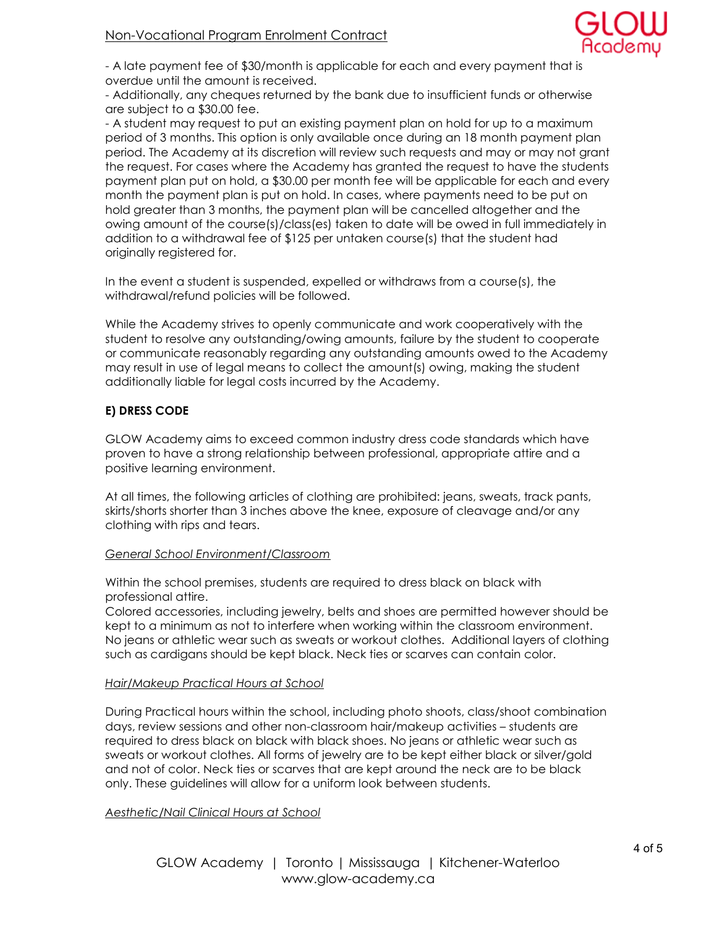

- A late payment fee of \$30/month is applicable for each and every payment that is overdue until the amount is received.

- Additionally, any cheques returned by the bank due to insufficient funds or otherwise are subject to a \$30.00 fee.

- A student may request to put an existing payment plan on hold for up to a maximum period of 3 months. This option is only available once during an 18 month payment plan period. The Academy at its discretion will review such requests and may or may not grant the request. For cases where the Academy has granted the request to have the students payment plan put on hold, a \$30.00 per month fee will be applicable for each and every month the payment plan is put on hold. In cases, where payments need to be put on hold greater than 3 months, the payment plan will be cancelled altogether and the owing amount of the course(s)/class(es) taken to date will be owed in full immediately in addition to a withdrawal fee of \$125 per untaken course(s) that the student had originally registered for.

In the event a student is suspended, expelled or withdraws from a course(s), the withdrawal/refund policies will be followed.

While the Academy strives to openly communicate and work cooperatively with the student to resolve any outstanding/owing amounts, failure by the student to cooperate or communicate reasonably regarding any outstanding amounts owed to the Academy may result in use of legal means to collect the amount(s) owing, making the student additionally liable for legal costs incurred by the Academy.

### E) DRESS CODE

GLOW Academy aims to exceed common industry dress code standards which have proven to have a strong relationship between professional, appropriate attire and a positive learning environment.

At all times, the following articles of clothing are prohibited: jeans, sweats, track pants, skirts/shorts shorter than 3 inches above the knee, exposure of cleavage and/or any clothing with rips and tears.

#### General School Environment/Classroom

Within the school premises, students are required to dress black on black with professional attire.

Colored accessories, including jewelry, belts and shoes are permitted however should be kept to a minimum as not to interfere when working within the classroom environment. No jeans or athletic wear such as sweats or workout clothes. Additional layers of clothing such as cardigans should be kept black. Neck ties or scarves can contain color.

#### Hair/Makeup Practical Hours at School

During Practical hours within the school, including photo shoots, class/shoot combination days, review sessions and other non-classroom hair/makeup activities – students are required to dress black on black with black shoes. No jeans or athletic wear such as sweats or workout clothes. All forms of jewelry are to be kept either black or silver/gold and not of color. Neck ties or scarves that are kept around the neck are to be black only. These guidelines will allow for a uniform look between students.

#### Aesthetic/Nail Clinical Hours at School